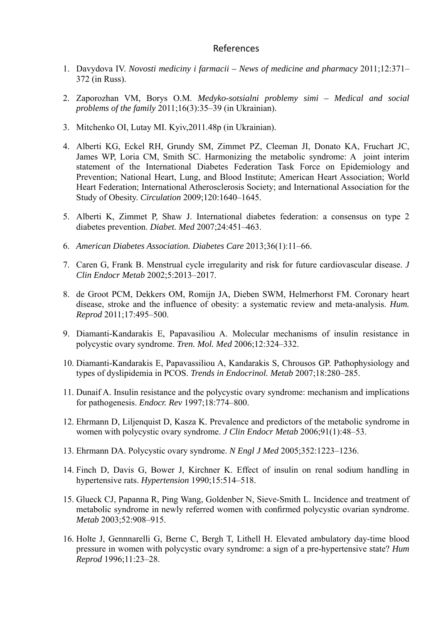## References

- 1. Davydova IV. *Novosti mediciny i farmacii News of medicine and pharmacy* 2011;12:371– 372 (in Russ).
- 2. Zaporozhan VM, Borys O.M. *Medyko-sotsialni problemy simi Medical and social problems of the family* 2011;16(3):35–39 (in Ukrainian).
- 3. Mitchenko OI, Lutay MI. Kyiv,2011.48p (in Ukrainian).
- 4. Alberti KG, Eckel RH, Grundy SM, Zimmet PZ, Cleeman JI, Donato KA, Fruchart JC, James WP, Loria CM, Smith SC. Harmonizing the metabolic syndrome: A joint interim statement of the International Diabetes Federation Task Force on Epidemiology and Prevention; National Heart, Lung, and Blood Institute; American Heart Association; World Heart Federation; International Atherosclerosis Society; and International Association for the Study of Obesity. *Circulation* 2009;120:1640–1645.
- 5. Alberti K, Zimmet P, Shaw J. International diabetes federation: a consensus on type 2 diabetes prevention. *Diabet. Med* 2007;24:451–463.
- 6. *American Diabetes Association. Diabetes Care* 2013;36(1):11–66.
- 7. Cаren G, Frank B. Menstrual cycle irregularity and risk for future cardiovascular disease. *J Clin Endocr Metab* 2002;5:2013–2017.
- 8. de Groot PCM, Dekkers OM, Romijn JA, Dieben SWM, Helmerhorst FM. Coronary heart disease, stroke and the influence of obesity: a systematic review and meta-analysis. *Hum. Reprod* 2011;17:495–500.
- 9. Diamanti-Kandarakis E, Papavasiliou A. Molecular mechanisms of insulin resistance in polycystic ovary syndrome. *Tren. Mol. Med* 2006;12:324–332.
- 10. Diamanti-Kandarakis E, Papavassiliou A, Kandarakis S, Chrousos GP. Pathophysiology and types of dyslipidemia in PCOS. *Trends in Endocrinol. Metab* 2007;18:280–285.
- 11. Dunaif A. Insulin resistance and the polycystic ovary syndrome: mechanism and implications for pathogenesis. *Endocr. Rev* 1997;18:774–800.
- 12. Ehrmann D, Liljenquist D, Kasza K. Prevalence and predictors of the metabolic syndrome in women with polycystic ovary syndrome. *J Clin Endocr Metab* 2006;91(1):48–53.
- 13. Ehrmann DA. Polycystic ovary syndrome. *N Engl J Med* 2005;352:1223–1236.
- 14. Finch D, Davis G, Bower J, Kirchner K. Effect of insulin on renal sodium handling in hypertensive rats. *Hypertension* 1990;15:514–518.
- 15. Glueck CJ, Papanna R, Ping Wang, Goldenber N, Sieve-Smith L. Incidence and treatment of metabolic syndrome in newly referred women with confirmed polycystic ovarian syndrome. *Metab* 2003;52:908–915.
- 16. Holte J, Gennnarelli G, Berne C, Bergh T, Lithell H. Elevated ambulatory day-time blood pressure in women with polycystic ovary syndrome: a sign of a pre-hypertensive state? *Hum Reprod* 1996;11:23–28.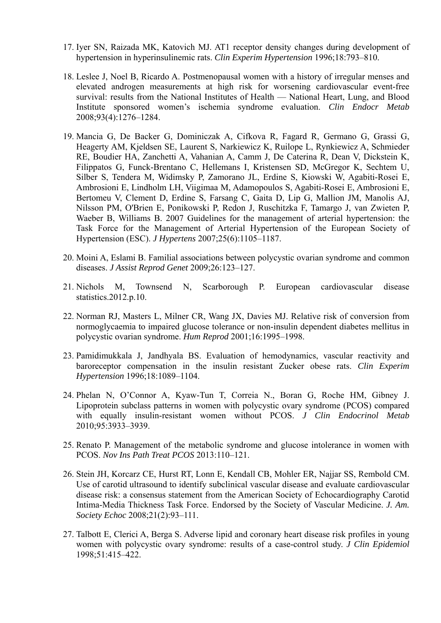- 17. Iyer SN, Raizada MK, Katovich MJ. AT1 receptor density changes during development of hypertension in hyperinsulinemic rats. *Clin Experim Hypertension* 1996;18:793–810.
- 18. Leslee J, Noel B, Ricardo A. Postmenopausal women with a history of irregular menses and elevated androgen measurements at high risk for worsening cardiovascular event-free survival: results from the National Institutes of Health — National Heart, Lung, and Blood Institute sponsored women's ischemia syndrome evaluation. *Clin Endocr Metab* 2008;93(4):1276–1284.
- 19. Mancia G, De Backer G, Dominiczak A, Cifkova R, Fagard R, Germano G, Grassi G, Heagerty AM, Kjeldsen SE, Laurent S, Narkiewicz K, Ruilope L, Rynkiewicz A, Schmieder RE, Boudier HA, Zanchetti A, Vahanian A, Camm J, De Caterina R, Dean V, Dickstein K, Filippatos G, Funck-Brentano C, Hellemans I, Kristensen SD, McGregor K, Sechtem U, Silber S, Tendera M, Widimsky P, Zamorano JL, Erdine S, Kiowski W, Agabiti-Rosei E, Ambrosioni E, Lindholm LH, Viigimaa M, Adamopoulos S, Agabiti-Rosei E, Ambrosioni E, Bertomeu V, Clement D, Erdine S, Farsang C, Gaita D, Lip G, Mallion JM, Manolis AJ, Nilsson PM, O'Brien E, Ponikowski P, Redon J, Ruschitzka F, Tamargo J, van Zwieten P, Waeber B, Williams B. 2007 Guidelines for the management of arterial hypertension: the Task Force for the Management of Arterial Hypertension of the Еuropean Society of Hypertension (ESC). *J Hypertens* 2007;25(6):1105–1187.
- 20. Moini A, Eslami B. Familial associations between polycystic ovarian syndrome and common diseases. *J Assist Reprod Genet* 2009;26:123–127.
- 21. Nichols M, Townsend N, Scarborough P. European cardiovascular disease statistics.2012.p.10.
- 22. Norman RJ, Masters L, Milner CR, Wang JX, Davies MJ. Relative risk of conversion from normoglycaemia to impaired glucose tolerance or non-insulin dependent diabetes mellitus in polycystic ovarian syndrome. *Hum Reprod* 2001;16:1995–1998.
- 23. Pamidimukkala J, Jandhyala BS. Evaluation of hemodynamics, vascular reactivity and baroreceptor compensation in the insulin resistant Zucker obese rats. *Clin Experim Hypertension* 1996;18:1089–1104.
- 24. Phelan N, O'Connor A, Kyaw-Tun T, Correia N., Boran G, Roche HM, Gibney J. Lipoprotein subclass patterns in women with polycystic ovary syndrome (PCOS) compared with equally insulin-resistant women without PCOS. *J Clin Endocrinol Metab* 2010;95:3933–3939.
- 25. Renato P. Management of the metabolic syndrome and glucose intolerance in women with PCOS. *Nov Ins Path Treat PCOS* 2013:110–121.
- 26. Stein JH, Korcarz CE, Hurst RT, Lonn E, Kendall CB, Mohler ER, Najjar SS, Rembold CM. Use of carotid ultrasound to identify subclinical vascular disease and evaluate cardiovascular disease risk: a consensus statement from the American Society of Echocardiography Carotid Intima-Media Thickness Task Force. Endorsed by the Society of Vascular Medicine. *J. Am. Society Echoc* 2008;21(2):93–111.
- 27. Talbott E, Clerici A, Berga S. Adverse lipid and coronary heart disease risk profiles in young women with polycystic ovary syndrome: results of a case-control study. *J Clin Epidemiol* 1998;51:415–422.